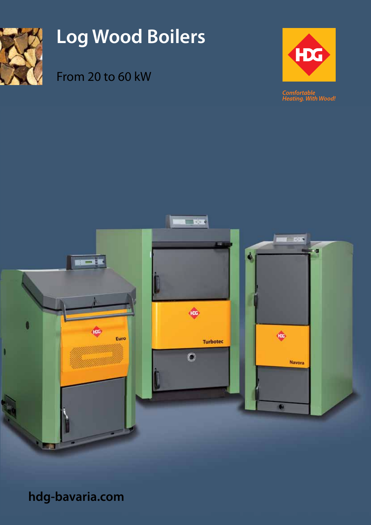

# **Log Wood Boilers**

## From 20 to 60 kW



**Comfortable**<br>Heating. With Wood!



**hdg-bavaria.com**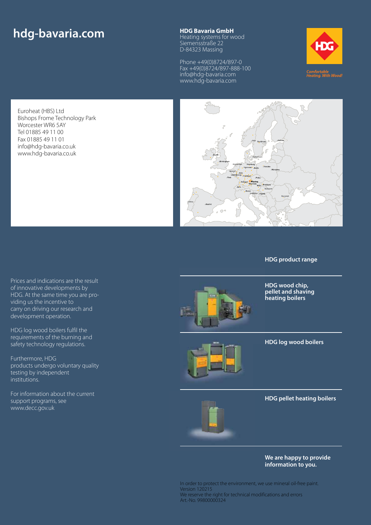## **hdg-bavaria.com HDG Bavaria GmbH**<br>Heating systems for w

Heating systems for wood Siemensstraße 22 D-84323 Massing

Phone +49(0)8724/897-0 Fax +49(0)8724/897-888-100 info@hdg-bavaria.com www.hdg-bavaria.com



Euroheat (HBS) Ltd Bishops Frome Technology Park Worcester WR6 5AY Tel 01885 49 11 00 Fax 01885 49 11 01 info@hdg-bavaria.co.uk www.hdg-bavaria.co.uk



#### **HDG product range**

Prices and indications are the result of innovative developments by HDG. At the same time you are providing us the incentive to carry on driving our research and development operation.

HDG log wood boilers fulfil the requirements of the burning and safety technology regulations.

Furthermore, HDG products undergo voluntary quality testing by independent institutions.

For information about the current support programs, see www.decc.gov.uk



**HDG wood chip, pellet and shaving heating boilers**



### **HDG log wood boilers**

**HDG pellet heating boilers**

**We are happy to provide information to you.**

In order to protect the environment, we use mineral oil-free paint. Version 120215 We reserve the right for technical modifications and errors Art.-No. 99800000324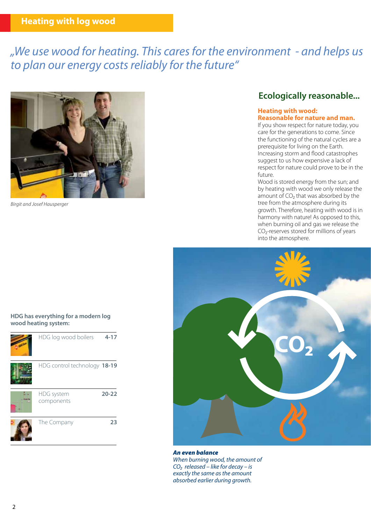### **Heating with log wood**

## *"We use wood for heating. This cares for the environment - and helps us to plan our energy costs reliably for the future"*



*Birgit and Josef Hausperger*

### **Ecologically reasonable...**

#### **Heating with wood: Reasonable for nature and man.**

If you show respect for nature today, you care for the generations to come. Since the functioning of the natural cycles are a prerequisite for living on the Earth. Increasing storm and flood catastrophes suggest to us how expensive a lack of respect for nature could prove to be in the future.

Wood is stored energy from the sun; and by heating with wood we only release the amount of CO<sub>2</sub> that was absorbed by the tree from the atmosphere during its growth. Therefore, heating with wood is in harmony with nature! As opposed to this, when burning oil and gas we release the CO₂-reserves stored for millions of years into the atmosphere.



### *An even balance*

*When burning wood, the amount of CO₂ released – like for decay – is exactly the same as the amount absorbed earlier during growth.* 

#### **HDG has everything for a modern log wood heating system:**

| HDG log wood boilers         | $4 - 17$  |
|------------------------------|-----------|
| HDG control technology 18-19 |           |
| HDG system<br>components     | $20 - 22$ |
| The Company                  | 23        |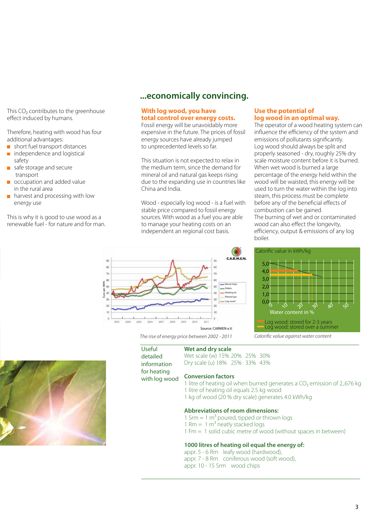This CO<sub>2</sub> contributes to the greenhouse effect induced by humans.

Therefore, heating with wood has four additional advantages:

- short fuel transport distances
- independence and logistical safety
- safe storage and secure  $\mathcal{L}^{\mathcal{A}}$ transport
- occupation and added value in the rural area
- harvest and processing with low energy use

This is why it is good to use wood as a renewable fuel - for nature and for man.

Euro per MWh

1Mh

ğ,

ä

### **...economically convincing.**

### **With log wood, you have total control over energy costs.**

Fossil energy will be unavoidably more expensive in the future. The prices of fossil energy sources have already jumped to unprecedented levels so far.

This situation is not expected to relax in the medium term, since the demand for mineral oil and natural gas keeps rising due to the expanding use in countries like China and India.

Wood - especially log wood - is a fuel with stable price compared to fossil energy sources. With wood as a fuel you are able to manage your heating costs on an independent an regional cost basis.

### **Use the potential of log wood in an optimal way.**

The operator of a wood heating system can influence the efficiency of the system and emissions of pollutants significantly. Log wood should always be split and properly seasoned - dry, roughly 25% dry scale moisture content before it is burned. When wet wood is burned a large percentage of the energy held within the wood will be waisted, this energy will be used to turn the water within the log into steam, this process must be complete before any of the beneficial effects of combustion can be gained. The burning of wet and or contaminated wood can also effect the longevity, efficiency, output & emissions of any log boiler.



*Calorific value against water content*



Useful detailed information

for heating with log wood

**Wet and dry scale**

*The rise of energy price between 2002 - 2011*

Wet scale (w) 15% 20% 25% 30% Dry scale (u) 18% 25% 33% 43%

Source: CARMEN e.V.

ü 10

**A** 

m

Wood chip **Pellets** - Heating of **Natural gas** Log v

í6 CARMEN

### **Conversion factors**

- 1 litre of heating oil when burned generates a CO<sub>2</sub> emission of 2,676 kg 1 litre of heating oil equals 2.5 kg wood
- 1 kg of wood (20 % dry scale) generates 4.0 kWh/kg

#### **Abbreviations of room dimensions:**

- 1 Srm  $= 1 \text{ m}^3$  poured, tipped or thrown logs
- 1 Rm  $=$  1 m<sup>3</sup> neatly stacked logs
- 1 Fm = 1 solid cubic metre of wood (without spaces in between)

#### **1000 litres of heating oil equal the energy of:**

appr. 5 - 6 Rm leafy wood (hardwood), appr. 7 - 8 Rm coniferous wood (soft wood), appr. 10 - 15 Srm wood chips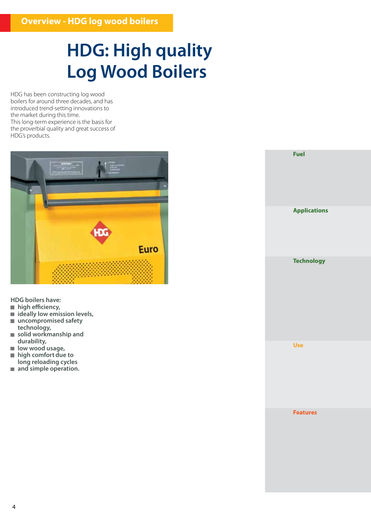## **HDG: High quality Log Wood Boilers**

HDG has been constructing log wood boilers for around three decades, and has introduced trend-setting innovations to the market during this time. This long-term experience is the basis for the proverbial quality and great success of HDG's products.



**HDG boilers have:**

- **high efficiency,**
- **ideally low emission levels,**
- **uncompromised safety technology,**
- **solid workmanship and durability,**
- low wood usage,
- **high comfort due to**
- **long reloading cycles**
- and simple operation.

**Fuel Applications Technology Features Use**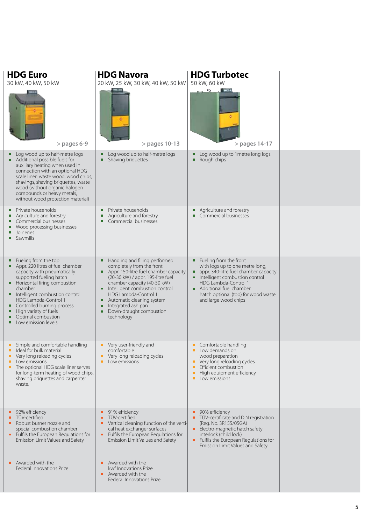| <b>HDG Euro</b><br>30 kW, 40 kW, 50 kW                                                                                                                                                                                                                                                                                                      | <b>HDG Navora</b><br>20 kW, 25 kW, 30 kW, 40 kW, 50 kW                                                                                                                                                                                                                                                                                   | <b>HDG Turbotec</b><br>50 kW, 60 kW<br>$\overline{\mathcal{L}}$                                                                                                                                                                                             |  |
|---------------------------------------------------------------------------------------------------------------------------------------------------------------------------------------------------------------------------------------------------------------------------------------------------------------------------------------------|------------------------------------------------------------------------------------------------------------------------------------------------------------------------------------------------------------------------------------------------------------------------------------------------------------------------------------------|-------------------------------------------------------------------------------------------------------------------------------------------------------------------------------------------------------------------------------------------------------------|--|
| $>$ pages 6-9 $-$                                                                                                                                                                                                                                                                                                                           | > pages 10-13                                                                                                                                                                                                                                                                                                                            | > pages 14-17                                                                                                                                                                                                                                               |  |
| Log wood up to half-metre logs<br>Additional possible fuels for                                                                                                                                                                                                                                                                             | Log wood up to half-metre logs<br>Shaving briquettes                                                                                                                                                                                                                                                                                     | Log wood up to 1 metre long logs<br>п<br>Rough chips<br>п                                                                                                                                                                                                   |  |
| auxiliary heating when used in<br>connection with an optional HDG<br>scale liner: waste wood, wood chips,<br>shavings, shaving briquettes, waste<br>wood (without organic halogen<br>compounds or heavy metals,<br>without wood protection material)                                                                                        |                                                                                                                                                                                                                                                                                                                                          |                                                                                                                                                                                                                                                             |  |
| Private households<br>u.<br>Agriculture and forestry<br>Commercial businesses<br>ш<br>Wood processing businesses<br>Joineries<br>п<br>Sawmills<br>п                                                                                                                                                                                         | Private households<br>Agriculture and forestry<br>Commercial businesses                                                                                                                                                                                                                                                                  | Agriculture and forestry<br>ш<br>Commercial businesses                                                                                                                                                                                                      |  |
| Fueling from the top<br>Appr. 220 litres of fuel chamber<br>capacity with pneumatically<br>supported fueling hatch<br>Horizontal firing combustion<br>chamber<br>Intelligent combustion control<br>HDG Lambda-Control 1<br>Controlled burning process<br>High variety of fuels<br>٠<br>Optimal combustion<br>ш<br>Low emission levels<br>п. | Handling and filling performed<br>ш<br>completely from the front<br>Appr. 150-litre fuel chamber capacity<br>(20-30 kW) / appr. 195-litre fuel<br>chamber capacity (40-50 kW)<br>Intelligent combustion control<br>HDG Lambda-Control 1<br>Automatic cleaning system<br>Integrated ash pan<br>Down-draught combustion<br>٠<br>technology | Fueling from the front<br>ш<br>with logs up to one metre long,<br>appr. 340-litre fuel chamber capacity<br>Intelligent combustion control<br>HDG Lambda-Control 1<br>Additional fuel chamber<br>hatch optional (top) for wood waste<br>and large wood chips |  |
| Simple and comfortable handling<br>Ideal for bulk material<br>Very long reloading cycles<br>ш<br>Low emissions<br>ш<br>The optional HDG scale liner serves<br>ш<br>for long-term heating of wood chips,<br>shaving briquettes and carpenter<br>waste.                                                                                       | Very user-friendly and<br>ш<br>comfortable<br>Very long reloading cycles<br>Low emissions<br>ш                                                                                                                                                                                                                                           | Comfortable handling<br>Low demands on<br>п<br>wood preparation<br>Very long reloading cycles<br>п<br>Efficient combustion<br>п<br>High equipment efficiency<br>ш<br>Low emissions                                                                          |  |
| 92% efficiency<br>TÜV-certified<br>ш<br>Robust burner nozzle and<br>special combustion chamber<br>Fulfils the European Regulations for<br>Emission Limit Values and Safety                                                                                                                                                                  | 91% efficiency<br>ш<br>TÜV-certified<br>Vertical cleaning function of the verti-<br>cal heat exchanger surfaces<br>Fulfils the European Regulations for<br>Emission Limit Values and Safety                                                                                                                                              | 90% efficiency<br>TÜV-certificate and DIN registration<br>$\blacksquare$<br>(Reg. No. 3R155/05GA)<br>Electro-magnetic hatch safety<br>п.<br>interlock (child lock)<br>Fulfils the European Regulations for<br>π.<br>Emission Limit Values and Safety        |  |
| Awarded with the<br>п.<br>Federal Innovations Prize                                                                                                                                                                                                                                                                                         | Awarded with the<br>ш<br>kwf Innovations Prize<br>Awarded with the<br>п<br>Federal Innovations Prize                                                                                                                                                                                                                                     |                                                                                                                                                                                                                                                             |  |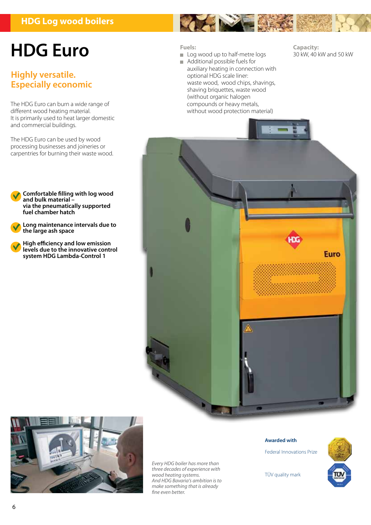### **HDG Log wood boilers**

## **HDG Euro**

### **Highly versatile. Especially economic**

The HDG Euro can burn a wide range of different wood heating material. It is primarily used to heat larger domestic and commercial buildings.

The HDG Euro can be used by wood processing businesses and joineries or carpentries for burning their waste wood.

**Comfortable filling with log wood and bulk material – via the pneumatically supported fuel chamber hatch**

**Long maintenance intervals due to the large ash space**

**High efficiency and low emission levels due to the innovative control system HDG Lambda-Control 1**



- Log wood up to half-metre logs
- Additional possible fuels for auxiliary heating in connection with optional HDG scale liner: waste wood, wood chips, shavings, shaving briquettes, waste wood (without organic halogen compounds or heavy metals, without wood protection material)

**Capacity:**  30 kW, 40 kW and 50 kW





*Every HDG boiler has more than three decades of experience with wood heating systems. And HDG Bavaria's ambition is to make something that is already fine even better.*

#### **Awarded with**

TÜV quality mark

Federal Innovations Prize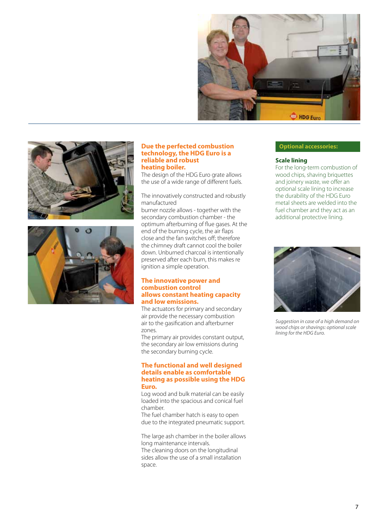





#### **Due the perfected combustion technology, the HDG Euro is a reliable and robust heating boiler.**

The design of the HDG Euro grate allows the use of a wide range of different fuels.

The innovatively constructed and robustly manufactured

burner nozzle allows - together with the secondary combustion chamber - the optimum afterburning of flue gases. At the end of the burning cycle, the air flaps close and the fan switches off; therefore the chimney draft cannot cool the boiler down. Unburned charcoal is intentionally preserved after each burn, this makes re ignition a simple operation.

### **The innovative power and combustion control allows constant heating capacity and low emissions.**

The actuators for primary and secondary air provide the necessary combustion air to the gasification and afterburner zones.

The primary air provides constant output, the secondary air low emissions during the secondary burning cycle.

### **The functional and well designed details enable as comfortable heating as possible using the HDG Euro.**

Log wood and bulk material can be easily loaded into the spacious and conical fuel chamber.

The fuel chamber hatch is easy to open due to the integrated pneumatic support.

The large ash chamber in the boiler allows long maintenance intervals. The cleaning doors on the longitudinal sides allow the use of a small installation space.

#### **Optional accessories:**

#### **Scale lining**

For the long-term combustion of wood chips, shaving briquettes and joinery waste, we offer an optional scale lining to increase the durability of the HDG Euro metal sheets are welded into the fuel chamber and they act as an additional protective lining.



*Suggestion in case of a high demand on wood chips or shavings: optional scale lining for the HDG Euro.*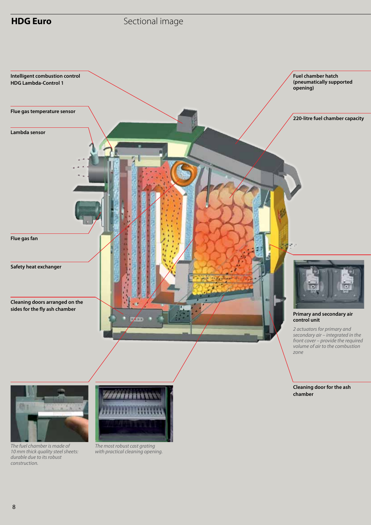

### **HDG Euro Sectional image**



*The fuel chamber is made of 10 mm thick quality steel sheets: durable due to its robust construction.*



*The most robust cast grating with practical cleaning opening.*

8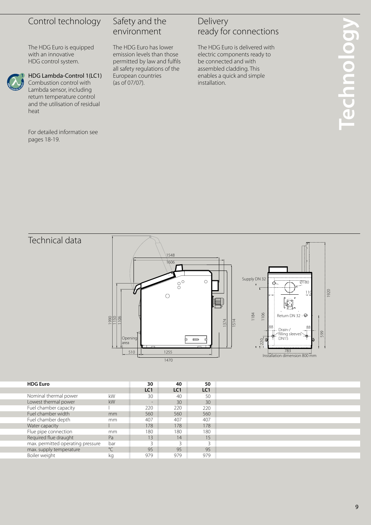### Control technology

The HDG Euro is equipped with an innovative HDG control system.



### HDG Lambda-Control 1(LC1)

Combustion control with Lambda sensor, including return temperature control and the utilisation of residual heat

For detailed information see pages 18-19.

### Safety and the environment

The HDG Euro has lower emission levels than those permitted by law and fulfils all safety regulations of the European countries (as of 07/07).

### Delivery ready for connections

The HDG Euro is delivered with electric components ready to be connected and with assembled cladding. This enables a quick and simple installation.

Technical data





| <b>HDG Euro</b>                   |             | 30                | 40              | 50              |
|-----------------------------------|-------------|-------------------|-----------------|-----------------|
|                                   |             | LC <sub>1</sub>   | LC <sub>1</sub> | LC <sub>1</sub> |
| Nominal thermal power             | kW          | 30                | 40              | 50              |
| Lowest thermal power              | kW          | $\qquad \qquad -$ | 30              | 30              |
| Fuel chamber capacity             |             | 220               | 220             | 220             |
| Fuel chamber width                | mm          | 560               | 560             | 560             |
| Fuel chamber depth                | mm          | 407               | 407             | 407             |
| Water capacity                    |             | 178               | 178             | 178             |
| Flue pipe connection              | mm          | 180               | 180             | 180             |
| Required flue draught             | Pa          | 13                | 14              | 15              |
| max. permitted operating pressure | bar         | 3                 | 3               | $\mathbf{R}$    |
| max. supply temperature           | $^{\circ}C$ | 95                | 95              | 95              |
| Boiler weight                     | кg          | 979               | 979             | 979             |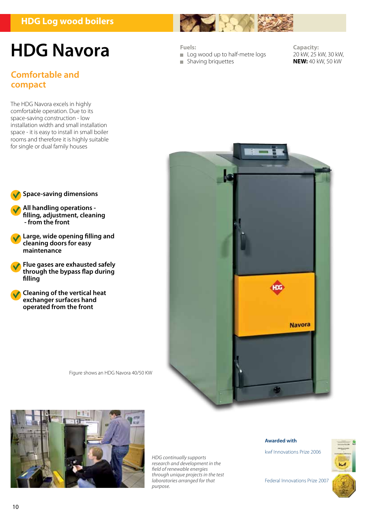### **HDG Log wood boilers**

## **HDG Navora**

### **Comfortable and compact**

The HDG Navora excels in highly comfortable operation. Due to its space-saving construction - low installation width and small installation space - it is easy to install in small boiler rooms and therefore it is highly suitable for single or dual family houses



**All handling operations filling, adjustment, cleaning - from the front**

**Large, wide opening filling and cleaning doors for easy maintenance**

**Flue gases are exhausted safely through the bypass flap during filling**

**Cleaning of the vertical heat exchanger surfaces hand operated from the front**





*HDG continually supports research and development in the field of renewable energies through unique projects in the test laboratories arranged for that purpose.*

#### **Awarded with**

kwf Innovations Prize 2006



Federal Innovations Prize 2007

Log wood up to half-metre logs

**Shaving briquettes** 

**Fuels:**

**Capacity:**  20 kW, 25 kW, 30 kW, **NEW:** 40 kW, 50 kW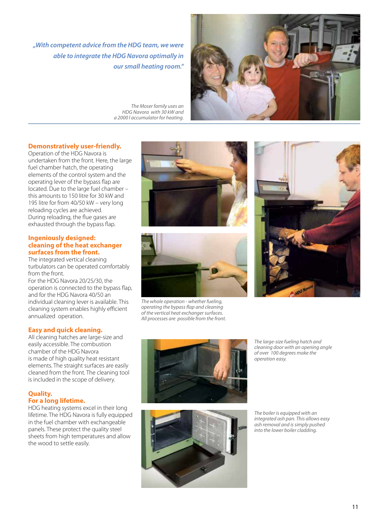*"With competent advice from the HDG team, we were able to integrate the HDG Navora optimally in our small heating room."*



*The Moser family uses an HDG Navora with 30 kW and a 2000 l accumulator for heating.*

### **Demonstratively user-friendly.**

Operation of the HDG Navora is undertaken from the front. Here, the large fuel chamber hatch, the operating elements of the control system and the operating lever of the bypass flap are located. Due to the large fuel chamber – this amounts to 150 litre for 30 kW and 195 litre for from 40/50 kW – very long reloading cycles are achieved. During reloading, the flue gases are exhausted through the bypass flap.

#### **Ingeniously designed: cleaning of the heat exchanger surfaces from the front.**

The integrated vertical cleaning turbulators can be operated comfortably from the front.

For the HDG Navora 20/25/30, the operation is connected to the bypass flap, and for the HDG Navora 40/50 an individual cleaning lever is available. This cleaning system enables highly efficient annualized operation.

### **Easy and quick cleaning.**

All cleaning hatches are large-size and easily accessible. The combustion chamber of the HDG Navora is made of high quality heat resistant elements. The straight surfaces are easily cleaned from the front. The cleaning tool is included in the scope of delivery.

### **Quality. For a long lifetime.**

HDG heating systems excel in their long lifetime. The HDG Navora is fully equipped in the fuel chamber with exchangeable panels. These protect the quality steel sheets from high temperatures and allow the wood to settle easily.





*The whole operation - whether fueling, operating the bypass flap and cleaning of the vertical heat exchanger surfaces. All processes are possible from the front.*







*The large-size fueling hatch and cleaning door with an opening angle of over 100 degrees make the operation easy.*

*The boiler is equipped with an integrated ash pan. This allows easy ash removal and is simply pushed into the lower boiler cladding.*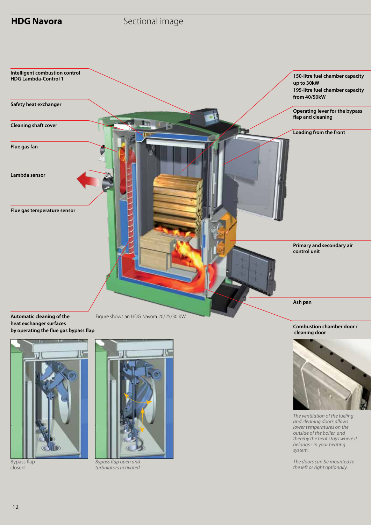





Bypass flap closed



*Bypass flap open and turbulators activated*

*The ventilation of the fueling and cleaning doors allows lower temperatures on the outside of the boiler, and thereby the heat stays where it belongs - in your heating system.*

*The doors can be mounted to the left or right optionally.*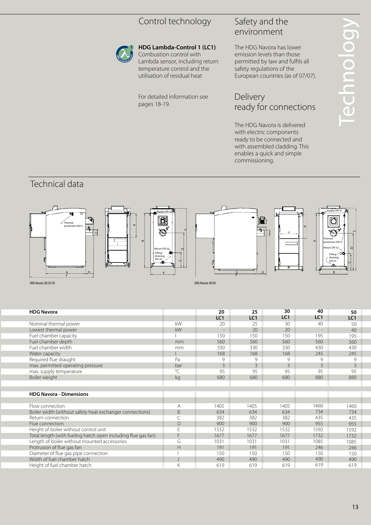### Control technology



### **HDG Lambda-Control 1 (LC1)**

### Safety and the environment

### Delivery ready for connections

### Technical data



|                                                                            | Control technology                                                                                                                                      |                      | Safety and the<br>environment                                                                                                                                         |                       |                                          |                                       |  |  |
|----------------------------------------------------------------------------|---------------------------------------------------------------------------------------------------------------------------------------------------------|----------------------|-----------------------------------------------------------------------------------------------------------------------------------------------------------------------|-----------------------|------------------------------------------|---------------------------------------|--|--|
|                                                                            | HDG Lambda-Control 1 (LC1)<br>Combustion control with<br>Lambda sensor, including return<br>temperature control and the<br>utilisation of residual heat |                      | The HDG Navora has lower<br>emission levels than those<br>permitted by law and fulfils all<br>safety regulations of the<br>European countries (as of 07/07).          |                       | echnolog                                 |                                       |  |  |
|                                                                            | For detailed information see<br>pages 18-19.                                                                                                            |                      | Delivery<br>ready for connections                                                                                                                                     |                       |                                          |                                       |  |  |
|                                                                            |                                                                                                                                                         |                      | The HDG Navora is delivered<br>with electric components<br>ready to be connected and<br>with assembled cladding. This<br>enables a quick and simple<br>commissioning. |                       |                                          |                                       |  |  |
| Technical data                                                             |                                                                                                                                                         |                      |                                                                                                                                                                       |                       |                                          |                                       |  |  |
| ∴ Thermal<br>protection DN15<br>Ģ.<br><b>HDG Navora 20/25/30</b>           | <b>D.</b><br>$\mathbb{Q}^{\mathbb{C}}$<br>Return DN 32-<br>Filling /<br>draining<br>DN 25<br>8                                                          | HDG Navora 40/50     |                                                                                                                                                                       |                       | protection DN15<br>Return DN 32<br>DN 25 | Supply DN 32<br>Filling /<br>draining |  |  |
| <b>HDG Navora</b>                                                          |                                                                                                                                                         | 20                   | 25                                                                                                                                                                    | 30<br>LC <sub>1</sub> | 40<br>LC <sub>1</sub>                    | 50                                    |  |  |
| Nominal thermal power                                                      | kW                                                                                                                                                      | LC1<br>20            | LC1<br>25                                                                                                                                                             | 30                    | 40                                       | LC1<br>50                             |  |  |
| Lowest thermal power                                                       | kW                                                                                                                                                      | $\blacksquare$       | 20                                                                                                                                                                    | 20                    | $\blacksquare$                           | 40                                    |  |  |
| Fuel chamber capacity                                                      |                                                                                                                                                         | 150                  | 150                                                                                                                                                                   | 150                   | 195                                      | 195                                   |  |  |
| Fuel chamber depth<br>Fuel chamber width                                   | mm<br>mm                                                                                                                                                | 560<br>330           | 560<br>330                                                                                                                                                            | 560<br>330            | 560<br>430                               | 560<br>430                            |  |  |
| Water capacity                                                             |                                                                                                                                                         | 168                  | 168                                                                                                                                                                   | 168                   | 245                                      | 245                                   |  |  |
| Required flue draught                                                      | Pa                                                                                                                                                      | 9                    | 9                                                                                                                                                                     | 9                     | 9                                        | 9                                     |  |  |
| max. permitted operating pressure<br>max. supply temperature               | bar<br>$\overline{C}$                                                                                                                                   | $\overline{3}$<br>95 | $\overline{3}$<br>95                                                                                                                                                  | $\mathbf{3}$<br>95    | $\overline{3}$<br>95                     | $\mathsf 3$<br>95                     |  |  |
| Boiler weight                                                              | kg                                                                                                                                                      | 680                  | 680                                                                                                                                                                   | 680                   | 880                                      | 880                                   |  |  |
| <b>HDG Navora - Dimensions</b>                                             |                                                                                                                                                         |                      |                                                                                                                                                                       |                       |                                          |                                       |  |  |
| Flow connection                                                            | Α                                                                                                                                                       | 1405                 | 1405                                                                                                                                                                  | 1405                  | 1460                                     | 1460                                  |  |  |
| Boiler width (without safety heat exchanger connections)                   | B                                                                                                                                                       | 634                  | 634                                                                                                                                                                   | 634                   | 734<br>435                               | 734                                   |  |  |
| Return connection<br>Flue connection                                       | C<br>D                                                                                                                                                  | 382<br>900           | 382<br>900                                                                                                                                                            | 382<br>900            | 955                                      | 435<br>955                            |  |  |
| Height of boiler without control unit                                      | E                                                                                                                                                       | 1532                 | 1532                                                                                                                                                                  | 1532                  | 1592                                     | 1592                                  |  |  |
| Total length (with fueling hatch open including flue gas fan)              | F                                                                                                                                                       | 1677                 | 1677                                                                                                                                                                  | 1677                  | 1732                                     | 1732                                  |  |  |
| Length of boiler without mounted accessories<br>Protrusion of flue gas fan | G<br>Н                                                                                                                                                  | 1031<br>191          | 1031<br>191                                                                                                                                                           | 1031<br>191           | 1085<br>246                              | 1085<br>246                           |  |  |
| Diameter of flue gas pipe connection                                       |                                                                                                                                                         | 150                  | 150                                                                                                                                                                   | 150                   | 150                                      | 150                                   |  |  |
| Width of fuel chamber hatch                                                | $\overline{\phantom{a}}$                                                                                                                                | 490                  | 490                                                                                                                                                                   | 490                   | 490                                      | 490                                   |  |  |
| Height of fuel chamber hatch                                               | Κ                                                                                                                                                       | 619                  | 619                                                                                                                                                                   | 619                   | 619                                      | 619                                   |  |  |
|                                                                            |                                                                                                                                                         |                      |                                                                                                                                                                       |                       |                                          | 13                                    |  |  |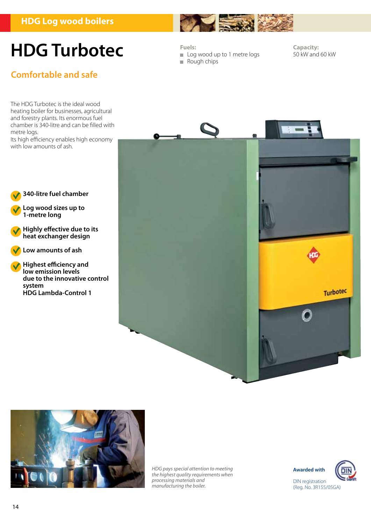

### **Comfortable and safe**

**Fuels:**

Log wood up to 1 metre logs

 $-42$ 

Rough chips

**Capacity:**  50 kW and 60 kW

The HDG Turbotec is the ideal wood heating boiler for businesses, agricultural and forestry plants. Its enormous fuel chamber is 340-litre and can be filled with metre logs.

Its high efficiency enables high economy with low amounts of ash.

**340-litre fuel chamber**

**Log wood sizes up to**

**Low amounts of ash**

**Highest efficiency and low emission levels** 

**HDG Lambda-Control 1**

**due to the innovative control**

**Highly effective due to its heat exchanger design**

**1-metre long**

**system** 





*HDG pays special attention to meeting the highest quality requirements when processing materials and manufacturing the boiler.*



(Reg. No. 3R155/05GA)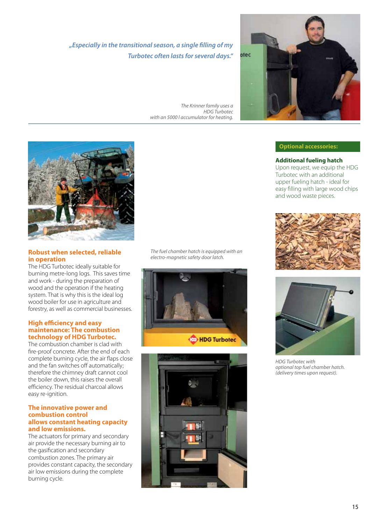*"Especially in the transitional season, a single filling of my Turbotec often lasts for several days."*

*The Krinner family uses a HDG Turbotec with an 5000 l accumulator for heating.* 



### **Optional accessories:**

**Additional fueling hatch**  Upon request, we equip the HDG Turbotec with an additional upper fueling hatch - ideal for easy filling with large wood chips and wood waste pieces.





*HDG Turbotec with optional top fuel chamber hatch. (delivery times upon request).*



### **Robust when selected, reliable in operation**

The HDG Turbotec ideally suitable for burning metre-long logs. This saves time and work - during the preparation of wood and the operation if the heating system. That is why this is the ideal log wood boiler for use in agriculture and forestry, as well as commercial businesses.

### **High efficiency and easy maintenance: The combustion technology of HDG Turbotec.**

The combustion chamber is clad with fire-proof concrete. After the end of each complete burning cycle, the air flaps close and the fan switches off automatically; therefore the chimney draft cannot cool the boiler down, this raises the overall efficiency. The residual charcoal allows easy re-ignition.

#### **The innovative power and combustion control allows constant heating capacity and low emissions.**

The actuators for primary and secondary air provide the necessary burning air to the gasification and secondary combustion zones. The primary air provides constant capacity, the secondary air low emissions during the complete burning cycle.

*The fuel chamber hatch is equipped with an electro-magnetic safety door latch.*



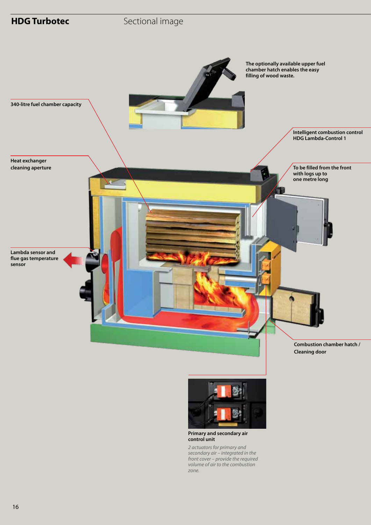



#### **Primary and secondary air control unit**

*2 actuators for primary and secondary air – integrated in the front cover – provide the required volume of air to the combustion zone.*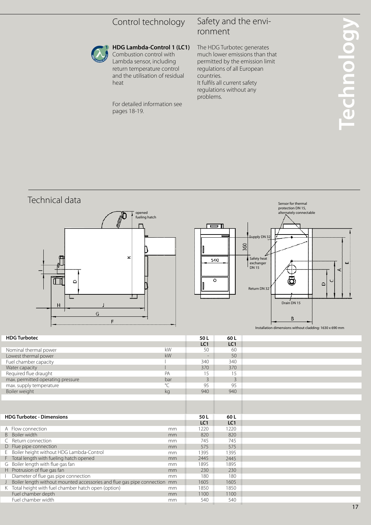### Control technology

### Safety and the environment



**HDG Lambda-Control 1 (LC1)**  Combustion control with Lambda sensor, including return temperature control and the utilisation of residual heat

For detailed information see pages 18-19.

The HDG Turbotec generates much lower emissions than that permitted by the emission limit regulations of all European countries. It fulfils all current safety regulations without any problems.



| <b>HDG Turbotec - Dimensions</b>                                            |    | 50 L            | 60 L            |
|-----------------------------------------------------------------------------|----|-----------------|-----------------|
|                                                                             |    | LC <sub>1</sub> | LC <sub>1</sub> |
| A Flow connection                                                           | mm | 1220            | 1220            |
| B Boiler width                                                              | mm | 820             | 820             |
| C Return connection                                                         | mm | 745             | 745             |
| D Flue pipe connection                                                      | mm | 575             | 575             |
| E Boiler height without HDG Lambda-Control                                  | mm | 1395            | 1395            |
| F Total length with fueling hatch opened                                    | mm | 2445            | 2445            |
| G Boiler length with flue gas fan                                           | mm | 1895            | 1895            |
| H Protrusion of flue gas fan                                                | mm | 230             | 230             |
| Diameter of flue gas pipe connection                                        | mm | 180             | 180             |
| J Boiler length without mounted accessories and flue gas pipe connection mm |    | 1605            | 1605            |
| K Total height with fuel chamber hatch open (option)                        | mm | 1850            | 1850            |
| Fuel chamber depth                                                          | mm | 1100            | 1100            |
| Fuel chamber width                                                          | mm | 540             | 540             |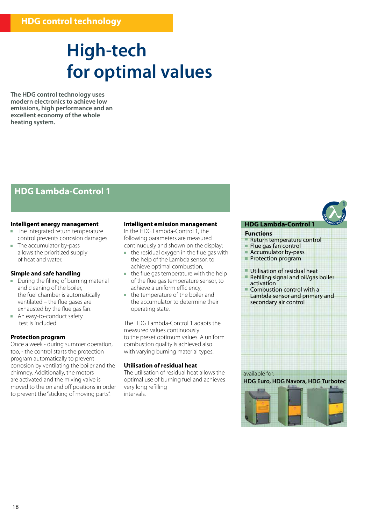## **High-tech for optimal values**

**The HDG control technology uses modern electronics to achieve low emissions, high performance and an excellent economy of the whole heating system.** 

### **HDG Lambda-Control 1**

### **Intelligent energy management**

- The integrated return temperature control prevents corrosion damages.
- The accumulator by-pass allows the prioritized supply of heat and water.

#### **Simple and safe handling**

- During the filling of burning material and cleaning of the boiler, the fuel chamber is automatically ventilated – the flue gases are exhausted by the flue gas fan.
- An easy-to-conduct safety test is included

#### **Protection program**

Once a week - during summer operation, too, - the control starts the protection program automatically to prevent corrosion by ventilating the boiler and the chimney. Additionally, the motors are activated and the mixing valve is moved to the on and off positions in order to prevent the "sticking of moving parts".

#### **Intelligent emission management**

In the HDG Lambda-Control 1, the following parameters are measured continuously and shown on the display:

- $\blacksquare$  the residual oxygen in the flue gas with the help of the Lambda sensor, to achieve optimal combustion,
- $\mathbf{r}$ the flue gas temperature with the help of the flue gas temperature sensor, to achieve a uniform efficiency,
- the temperature of the boiler and the accumulator to determine their operating state.

The HDG Lambda-Control 1 adapts the measured values continuously to the preset optimum values. A uniform combustion quality is achieved also with varying burning material types.

### **Utilisation of residual heat**

The utilisation of residual heat allows the optimal use of burning fuel and achieves very long refilling intervals.

#### **HDG Lambda-Control 1**

#### **Functions**

- Return temperature control
- Flue gas fan control
- Accumulator by-pass Protection program
- 
- Utilisation of residual heat Refilling signal and oil/gas boiler
- activation
- Combustion control with a Lambda sensor and primary and secondary air control



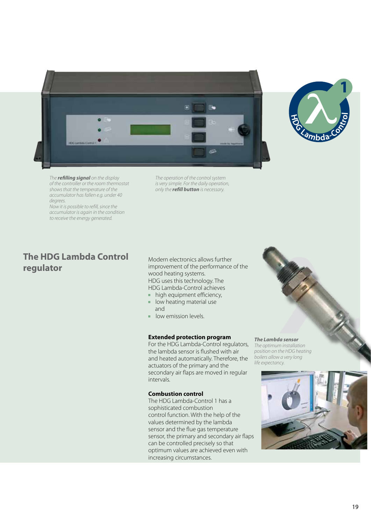



*The refilling signal on the display of the controller or the room thermostat shows that the temperature of the accumulator has fallen e.g. under 40 degrees.*

*Now it is possible to refill, since the accumulator is again in the condition to receive the energy generated.* 

**The HDG Lambda Control regulator**

*The operation of the control system is very simple. For the daily operation, only the refill button is necessary.*

Modern electronics allows further improvement of the performance of the wood heating systems. HDG uses this technology. The HDG Lambda-Control achieves

- $\blacksquare$  high equipment efficiency,
- **IDOW** heating material use
	- and
- **low emission levels.**

#### **Extended protection program**

For the HDG Lambda-Control regulators, the lambda sensor is flushed with air and heated automatically. Therefore, the actuators of the primary and the secondary air flaps are moved in regular intervals.

#### **Combustion control**

The HDG Lambda-Control 1 has a sophisticated combustion control function. With the help of the values determined by the lambda sensor and the flue gas temperature sensor, the primary and secondary air flaps can be controlled precisely so that optimum values are achieved even with increasing circumstances.



*The optimum installation position on the HDG heating boilers allow a very long life expectancy.* 

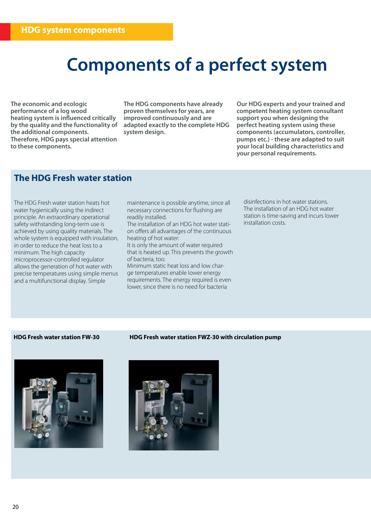## **Components of a perfect system**

**The economic and ecologic performance of a log wood heating system is influenced critically by the quality and the functionality of the additional components. Therefore, HDG pays special attention to these components.** 

**The HDG components have already proven themselves for years, are improved continuously and are adapted exactly to the complete HDG system design.**

**Our HDG experts and your trained and competent heating system consultant support you when designing the perfect heating system using these components (accumulators, controller, pumps etc.) - these are adapted to suit your local building characteristics and your personal requirements.**

### **The HDG Fresh water station**

The HDG Fresh water station heats hot water hygienically using the indirect principle. An extraordinary operational safety withstanding long-term use is achieved by using quality materials. The whole system is equipped with insulation, in order to reduce the heat loss to a minimum. The high capacity microprocessor-controlled regulator allows the generation of hot water with precise temperatures using simple menus and a multifunctional display. Simple

maintenance is possible anytime, since all necessary connections for flushing are readily installed.

The installation of an HDG hot water station offers all advantages of the continuous heating of hot water:

It is only the amount of water required that is heated up. This prevents the growth of bacteria, too.

Minimum static heat loss and low charge temperatures enable lower energy requirements. The energy required is even lower, since there is no need for bacteria

disinfections in hot water stations. The installation of an HDG hot water station is time-saving and incurs lower installation costs.





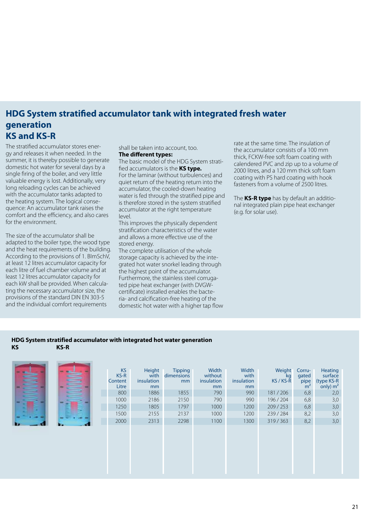### **HDG System stratified accumulator tank with integrated fresh water generation KS and KS-R**

The stratified accumulator stores energy and releases it when needed. In the summer, it is thereby possible to generate domestic hot water for several days by a single firing of the boiler, and very little valuable energy is lost. Additionally, very long reloading cycles can be achieved with the accumulator tanks adapted to the heating system. The logical consequence: An accumulator tank raises the comfort and the efficiency, and also cares for the environment.

The size of the accumulator shall be adapted to the boiler type, the wood type and the heat requirements of the building. According to the provisions of 1. BImSchV, at least 12 litres accumulator capacity for each litre of fuel chamber volume and at least 12 litres accumulator capacity for each kW shall be provided. When calculating the necessary accumulator size, the provisions of the standard DIN EN 303-5 and the individual comfort requirements

shall be taken into account, too. **The different types:**

The basic model of the HDG System stratified accumulators is the **KS type.**  For the laminar (without turbulences) and

quiet return of the heating return into the accumulator, the cooled-down heating water is fed through the stratified pipe and is therefore stored in the system stratified accumulator at the right temperature level.

This improves the physically dependent stratification characteristics of the water and allows a more effective use of the stored energy.

The complete utilisation of the whole storage capacity is achieved by the integrated hot water snorkel leading through the highest point of the accumulator. Furthermore, the stainless steel corrugated pipe heat exchanger (with DVGWcertificate) installed enables the bacteria- and calcification-free heating of the domestic hot water with a higher tap flow rate at the same time. The insulation of the accumulator consists of a 100 mm thick, FCKW-free soft foam coating with calendered PVC and zip up to a volume of 2000 litres, and a 120 mm thick soft foam coating with PS hard coating with hook fasteners from a volume of 2500 litres.

The **KS-R type** has by default an additional integrated plain pipe heat exchanger (e.g. for solar use).

### **HDG System stratified accumulator with integrated hot water generation KS KS-R**

|  |  | <b>KS</b><br>$KS-R$<br>Content<br>Litre | Height<br>with<br>insulation<br>mm | <b>Tipping</b><br>dimensions<br>mm | Width<br>without<br>insulation<br>mm | Width<br>with<br>insulation<br>mm | Weight<br>kg<br>KS / KS-R | Corru-<br>gated<br>pipe<br>m <sup>2</sup> | Heating<br>surface<br>(type KS-R<br>$\sin(y)$ m <sup>2</sup> |
|--|--|-----------------------------------------|------------------------------------|------------------------------------|--------------------------------------|-----------------------------------|---------------------------|-------------------------------------------|--------------------------------------------------------------|
|  |  | 800                                     | 1886                               | 1855                               | 790                                  | 990                               | 181/206                   | 6,8                                       | 2,0                                                          |
|  |  | 1000                                    | 2186                               | 2150                               | 790                                  | 990                               | 196/204                   | 6,8                                       | 3,0                                                          |
|  |  | 1250                                    | 1805                               | 1797                               | 1000                                 | 1200                              | 209/253                   | 6,8                                       | 3,0                                                          |
|  |  | 1500                                    | 2155                               | 2137                               | 1000                                 | 1200                              | 239/284                   | 8,2                                       | 3,0                                                          |
|  |  | 2000                                    | 2313                               | 2298                               | 1100                                 | 1300                              | 319/363                   | 8,2                                       | 3,0                                                          |
|  |  |                                         |                                    |                                    |                                      |                                   |                           |                                           |                                                              |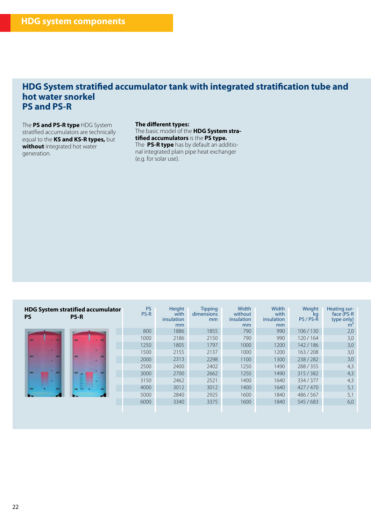### **HDG System stratified accumulator tank with integrated stratification tube and hot water snorkel PS and PS-R**

The **PS and PS-R type** HDG System stratified accumulators are technically equal to the **KS and KS-R types,** but **without** integrated hot water generation.

#### **The different types:**

The basic model of the **HDG System stratified accumulators** is the **PS type.** The **PS-R type** has by default an additional integrated plain pipe heat exchanger (e.g. for solar use).

| <b>HDG System stratified accumulator</b><br><b>PS</b><br><b>PS-R</b> | <b>PS</b><br>PS-R | Height<br>with<br>insulation<br>mm | <b>Tipping</b><br>dimensions<br>mm | Width<br>without<br>insulation<br>mm | <b>Width</b><br>with<br>insulation<br>mm | Weight<br>kg<br>PS / PS-R | Heating sur-<br>face (PS-R<br>type only)<br>m |
|----------------------------------------------------------------------|-------------------|------------------------------------|------------------------------------|--------------------------------------|------------------------------------------|---------------------------|-----------------------------------------------|
|                                                                      | 800               | 1886                               | 1855                               | 790                                  | 990                                      | 106/130                   | 2,0                                           |
|                                                                      | 1000              | 2186                               | 2150                               | 790                                  | 990                                      | 120/164                   | 3,0                                           |
|                                                                      | 1250              | 1805                               | 1797                               | 1000                                 | 1200                                     | 142/186                   | 3,0                                           |
|                                                                      | 1500              | 2155                               | 2137                               | 1000                                 | 1200                                     | 163/208                   | 3,0                                           |
|                                                                      | 2000              | 2313                               | 2298                               | 1100                                 | 1300                                     | 238/282                   | 3,0                                           |
|                                                                      | 2500              | 2400                               | 2402                               | 1250                                 | 1490                                     | 288/355                   | 4,3                                           |
|                                                                      | 3000              | 2700                               | 2662                               | 1250                                 | 1490                                     | 315/382                   | 4,3                                           |
|                                                                      | 3150              | 2462                               | 2521                               | 1400                                 | 1640                                     | 334/377                   | 4,3                                           |
|                                                                      | 4000              | 3012                               | 3012                               | 1400                                 | 1640                                     | 427/470                   | 5,1                                           |
|                                                                      | 5000              | 2840                               | 2925                               | 1600                                 | 1840                                     | 486 / 567                 | 5,1                                           |
|                                                                      | 6000              | 3340                               | 3375                               | 1600                                 | 1840                                     | 545 / 683                 | 6,0                                           |
|                                                                      |                   |                                    |                                    |                                      |                                          |                           |                                               |